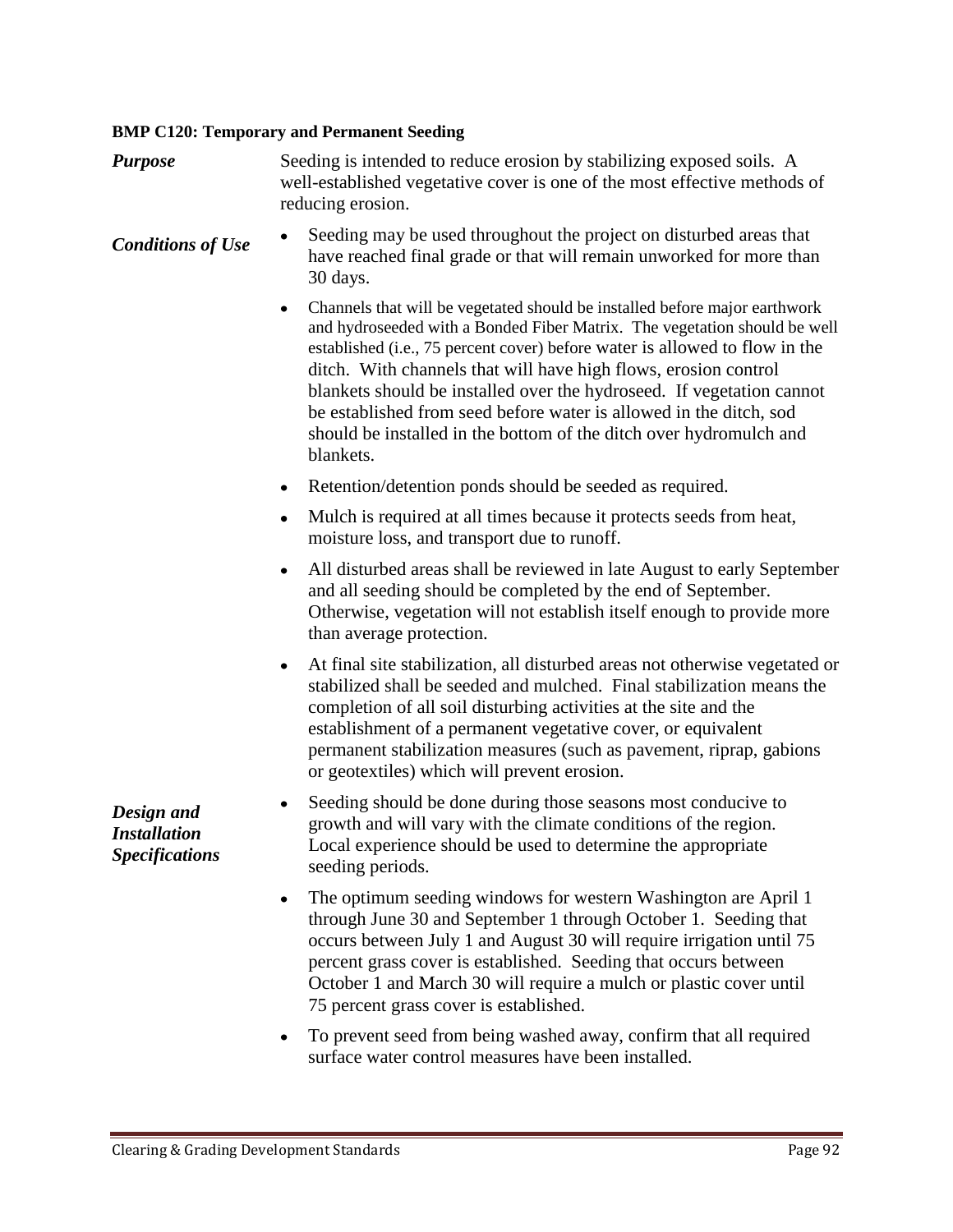## **BMP C120: Temporary and Permanent Seeding**

| <b>Purpose</b>                                             | Seeding is intended to reduce erosion by stabilizing exposed soils. A<br>well-established vegetative cover is one of the most effective methods of<br>reducing erosion.                                                                                                                                                                                                                                                                                                                                                                          |
|------------------------------------------------------------|--------------------------------------------------------------------------------------------------------------------------------------------------------------------------------------------------------------------------------------------------------------------------------------------------------------------------------------------------------------------------------------------------------------------------------------------------------------------------------------------------------------------------------------------------|
| <b>Conditions of Use</b>                                   | Seeding may be used throughout the project on disturbed areas that<br>٠<br>have reached final grade or that will remain unworked for more than<br>30 days.                                                                                                                                                                                                                                                                                                                                                                                       |
|                                                            | Channels that will be vegetated should be installed before major earthwork<br>٠<br>and hydroseeded with a Bonded Fiber Matrix. The vegetation should be well<br>established (i.e., 75 percent cover) before water is allowed to flow in the<br>ditch. With channels that will have high flows, erosion control<br>blankets should be installed over the hydroseed. If vegetation cannot<br>be established from seed before water is allowed in the ditch, sod<br>should be installed in the bottom of the ditch over hydromulch and<br>blankets. |
|                                                            | Retention/detention ponds should be seeded as required.<br>٠                                                                                                                                                                                                                                                                                                                                                                                                                                                                                     |
|                                                            | Mulch is required at all times because it protects seeds from heat,<br>٠<br>moisture loss, and transport due to runoff.                                                                                                                                                                                                                                                                                                                                                                                                                          |
|                                                            | All disturbed areas shall be reviewed in late August to early September<br>٠<br>and all seeding should be completed by the end of September.<br>Otherwise, vegetation will not establish itself enough to provide more<br>than average protection.                                                                                                                                                                                                                                                                                               |
|                                                            | At final site stabilization, all disturbed areas not otherwise vegetated or<br>$\bullet$<br>stabilized shall be seeded and mulched. Final stabilization means the<br>completion of all soil disturbing activities at the site and the<br>establishment of a permanent vegetative cover, or equivalent<br>permanent stabilization measures (such as pavement, riprap, gabions<br>or geotextiles) which will prevent erosion.                                                                                                                      |
| Design and<br><b>Installation</b><br><b>Specifications</b> | Seeding should be done during those seasons most conducive to<br>٠<br>growth and will vary with the climate conditions of the region.<br>Local experience should be used to determine the appropriate<br>seeding periods.                                                                                                                                                                                                                                                                                                                        |
|                                                            | The optimum seeding windows for western Washington are April 1<br>٠<br>through June 30 and September 1 through October 1. Seeding that<br>occurs between July 1 and August 30 will require irrigation until 75<br>percent grass cover is established. Seeding that occurs between<br>October 1 and March 30 will require a mulch or plastic cover until<br>75 percent grass cover is established.                                                                                                                                                |

To prevent seed from being washed away, confirm that all required surface water control measures have been installed.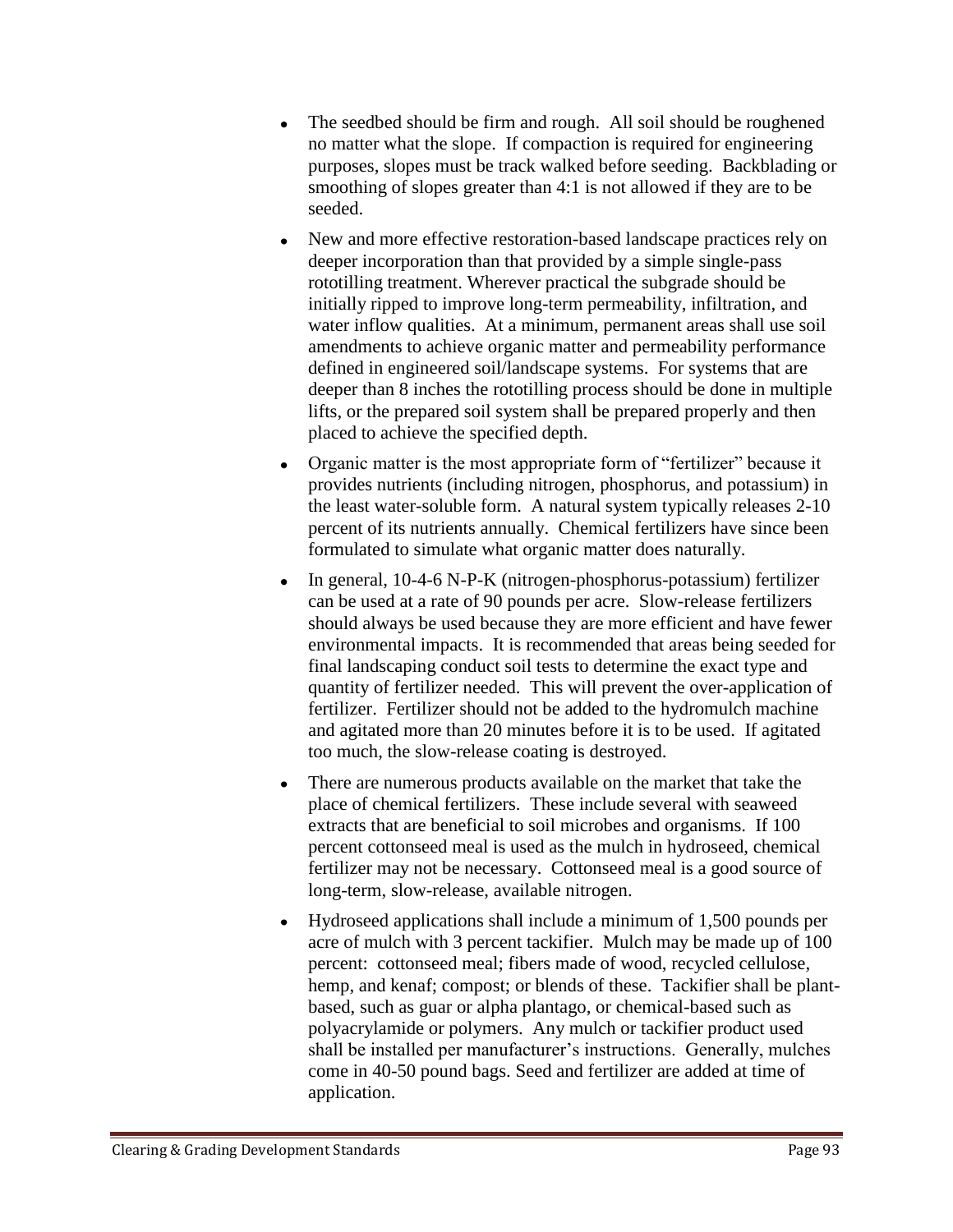- The seedbed should be firm and rough. All soil should be roughened  $\bullet$ no matter what the slope. If compaction is required for engineering purposes, slopes must be track walked before seeding. Backblading or smoothing of slopes greater than 4:1 is not allowed if they are to be seeded.
- New and more effective restoration-based landscape practices rely on deeper incorporation than that provided by a simple single-pass rototilling treatment. Wherever practical the subgrade should be initially ripped to improve long-term permeability, infiltration, and water inflow qualities. At a minimum, permanent areas shall use soil amendments to achieve organic matter and permeability performance defined in engineered soil/landscape systems. For systems that are deeper than 8 inches the rototilling process should be done in multiple lifts, or the prepared soil system shall be prepared properly and then placed to achieve the specified depth.
- Organic matter is the most appropriate form of "fertilizer" because it provides nutrients (including nitrogen, phosphorus, and potassium) in the least water-soluble form. A natural system typically releases 2-10 percent of its nutrients annually. Chemical fertilizers have since been formulated to simulate what organic matter does naturally.
- In general, 10-4-6 N-P-K (nitrogen-phosphorus-potassium) fertilizer can be used at a rate of 90 pounds per acre. Slow-release fertilizers should always be used because they are more efficient and have fewer environmental impacts. It is recommended that areas being seeded for final landscaping conduct soil tests to determine the exact type and quantity of fertilizer needed. This will prevent the over-application of fertilizer. Fertilizer should not be added to the hydromulch machine and agitated more than 20 minutes before it is to be used. If agitated too much, the slow-release coating is destroyed.
- There are numerous products available on the market that take the  $\bullet$ place of chemical fertilizers. These include several with seaweed extracts that are beneficial to soil microbes and organisms. If 100 percent cottonseed meal is used as the mulch in hydroseed, chemical fertilizer may not be necessary. Cottonseed meal is a good source of long-term, slow-release, available nitrogen.
- Hydroseed applications shall include a minimum of 1,500 pounds per acre of mulch with 3 percent tackifier. Mulch may be made up of 100 percent: cottonseed meal; fibers made of wood, recycled cellulose, hemp, and kenaf; compost; or blends of these. Tackifier shall be plantbased, such as guar or alpha plantago, or chemical-based such as polyacrylamide or polymers. Any mulch or tackifier product used shall be installed per manufacturer's instructions. Generally, mulches come in 40-50 pound bags. Seed and fertilizer are added at time of application.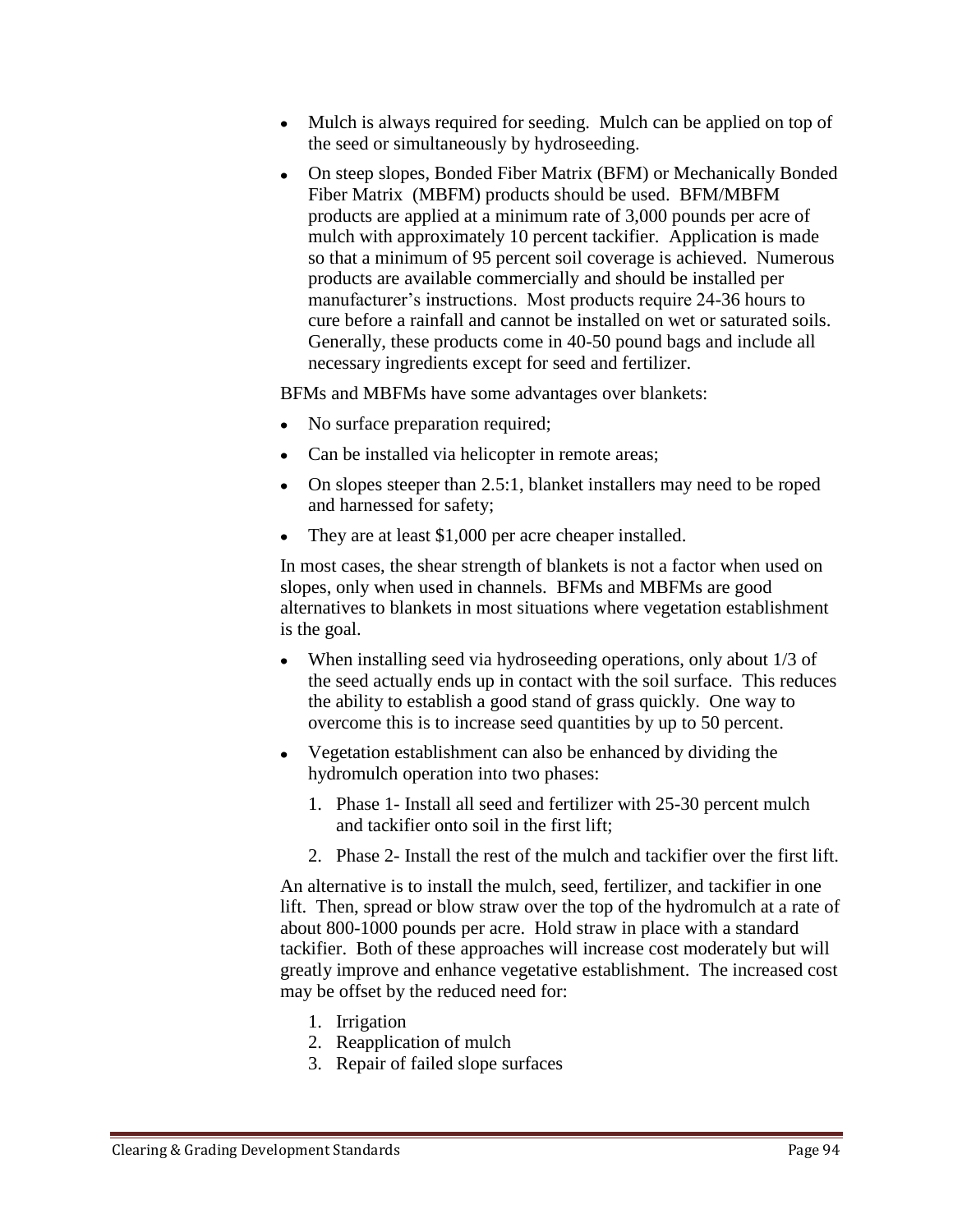- Mulch is always required for seeding. Mulch can be applied on top of the seed or simultaneously by hydroseeding.
- On steep slopes, Bonded Fiber Matrix (BFM) or Mechanically Bonded Fiber Matrix (MBFM) products should be used. BFM/MBFM products are applied at a minimum rate of 3,000 pounds per acre of mulch with approximately 10 percent tackifier. Application is made so that a minimum of 95 percent soil coverage is achieved. Numerous products are available commercially and should be installed per manufacturer's instructions. Most products require 24-36 hours to cure before a rainfall and cannot be installed on wet or saturated soils. Generally, these products come in 40-50 pound bags and include all necessary ingredients except for seed and fertilizer.

BFMs and MBFMs have some advantages over blankets:

- No surface preparation required;
- Can be installed via helicopter in remote areas;
- On slopes steeper than 2.5:1, blanket installers may need to be roped and harnessed for safety;
- They are at least \$1,000 per acre cheaper installed.

In most cases, the shear strength of blankets is not a factor when used on slopes, only when used in channels. BFMs and MBFMs are good alternatives to blankets in most situations where vegetation establishment is the goal.

- When installing seed via hydroseeding operations, only about 1/3 of the seed actually ends up in contact with the soil surface. This reduces the ability to establish a good stand of grass quickly. One way to overcome this is to increase seed quantities by up to 50 percent.
- Vegetation establishment can also be enhanced by dividing the hydromulch operation into two phases:
	- 1. Phase 1- Install all seed and fertilizer with 25-30 percent mulch and tackifier onto soil in the first lift;
	- 2. Phase 2- Install the rest of the mulch and tackifier over the first lift.

An alternative is to install the mulch, seed, fertilizer, and tackifier in one lift. Then, spread or blow straw over the top of the hydromulch at a rate of about 800-1000 pounds per acre. Hold straw in place with a standard tackifier. Both of these approaches will increase cost moderately but will greatly improve and enhance vegetative establishment. The increased cost may be offset by the reduced need for:

- 1. Irrigation
- 2. Reapplication of mulch
- 3. Repair of failed slope surfaces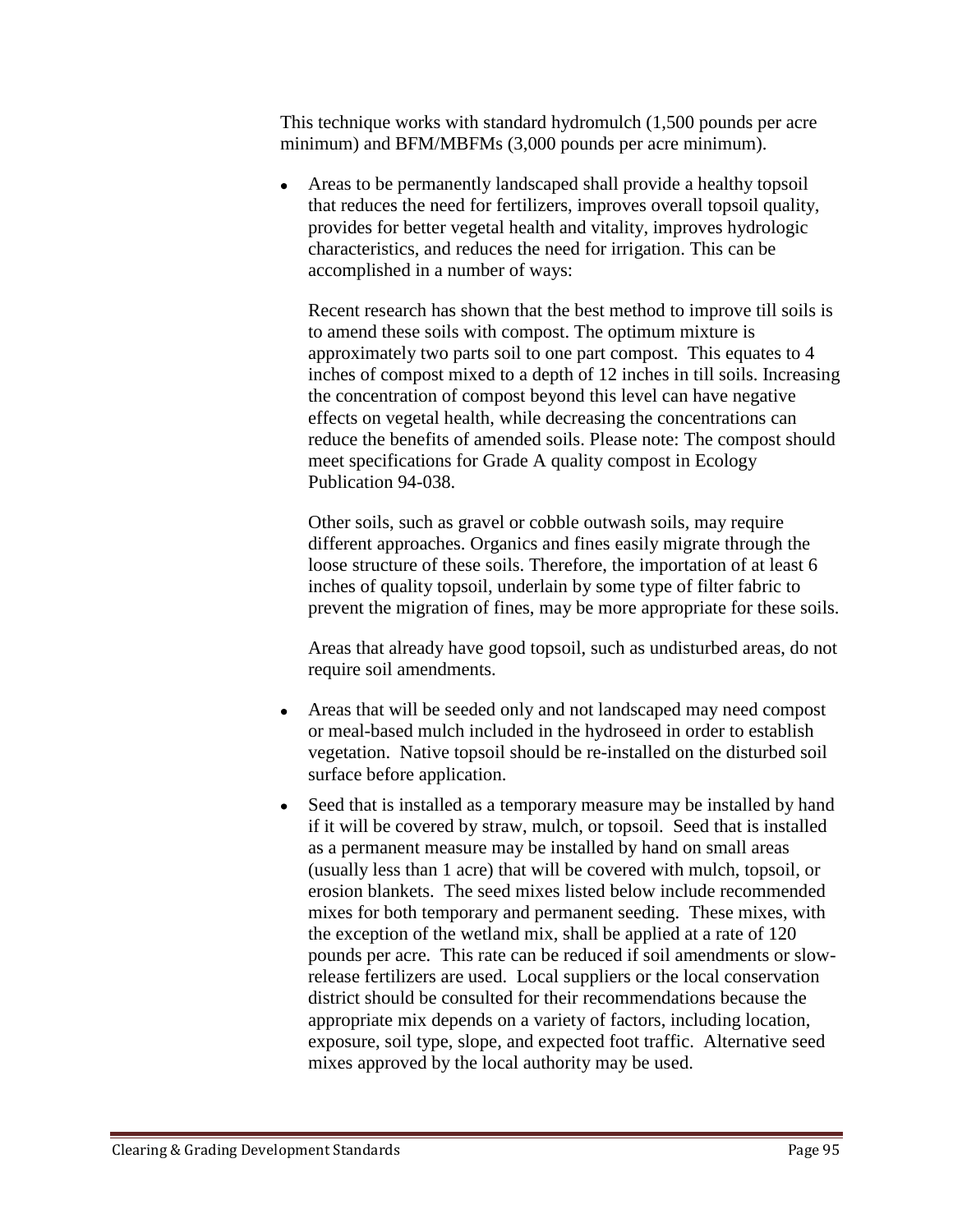This technique works with standard hydromulch (1,500 pounds per acre minimum) and BFM/MBFMs (3,000 pounds per acre minimum).

• Areas to be permanently landscaped shall provide a healthy topsoil that reduces the need for fertilizers, improves overall topsoil quality, provides for better vegetal health and vitality, improves hydrologic characteristics, and reduces the need for irrigation. This can be accomplished in a number of ways:

Recent research has shown that the best method to improve till soils is to amend these soils with compost. The optimum mixture is approximately two parts soil to one part compost. This equates to 4 inches of compost mixed to a depth of 12 inches in till soils. Increasing the concentration of compost beyond this level can have negative effects on vegetal health, while decreasing the concentrations can reduce the benefits of amended soils. Please note: The compost should meet specifications for Grade A quality compost in Ecology Publication 94-038.

Other soils, such as gravel or cobble outwash soils, may require different approaches. Organics and fines easily migrate through the loose structure of these soils. Therefore, the importation of at least 6 inches of quality topsoil, underlain by some type of filter fabric to prevent the migration of fines, may be more appropriate for these soils.

Areas that already have good topsoil, such as undisturbed areas, do not require soil amendments.

- Areas that will be seeded only and not landscaped may need compost or meal-based mulch included in the hydroseed in order to establish vegetation. Native topsoil should be re-installed on the disturbed soil surface before application.
- Seed that is installed as a temporary measure may be installed by hand if it will be covered by straw, mulch, or topsoil. Seed that is installed as a permanent measure may be installed by hand on small areas (usually less than 1 acre) that will be covered with mulch, topsoil, or erosion blankets. The seed mixes listed below include recommended mixes for both temporary and permanent seeding. These mixes, with the exception of the wetland mix, shall be applied at a rate of 120 pounds per acre. This rate can be reduced if soil amendments or slowrelease fertilizers are used. Local suppliers or the local conservation district should be consulted for their recommendations because the appropriate mix depends on a variety of factors, including location, exposure, soil type, slope, and expected foot traffic. Alternative seed mixes approved by the local authority may be used.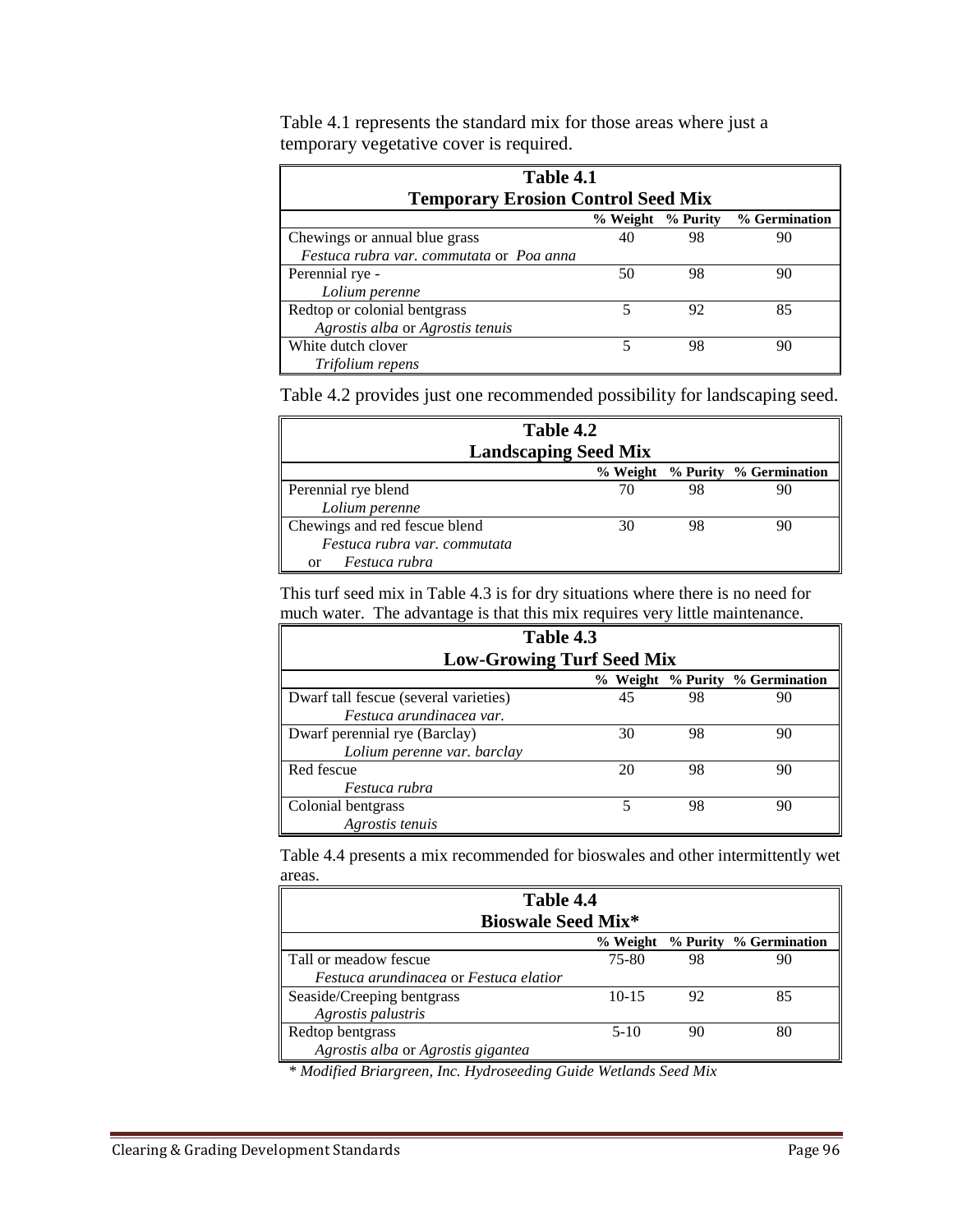| Table 4.1                                 |                   |    |               |
|-------------------------------------------|-------------------|----|---------------|
| <b>Temporary Erosion Control Seed Mix</b> |                   |    |               |
|                                           | % Weight % Purity |    | % Germination |
| Chewings or annual blue grass             | 40                | 98 | 90            |
| Festuca rubra var. commutata or Poa anna  |                   |    |               |
| Perennial rye -                           | 50                | 98 | 90            |
| Lolium perenne                            |                   |    |               |
| Redtop or colonial bentgrass              | 5                 | 92 | 85            |
| Agrostis alba or Agrostis tenuis          |                   |    |               |
| White dutch clover                        |                   | 98 | 90            |
| Trifolium repens                          |                   |    |               |

Table 4.1 represents the standard mix for those areas where just a temporary vegetative cover is required.

Table 4.2 provides just one recommended possibility for landscaping seed.

| Table 4.2                     |          |    |                        |
|-------------------------------|----------|----|------------------------|
| <b>Landscaping Seed Mix</b>   |          |    |                        |
|                               | % Weight |    | % Purity % Germination |
| Perennial rye blend           | 70       | 98 |                        |
| Lolium perenne                |          |    |                        |
| Chewings and red fescue blend | 30       | 98 |                        |
| Festuca rubra var. commutata  |          |    |                        |
| Festuca rubra<br>or           |          |    |                        |

This turf seed mix in Table 4.3 is for dry situations where there is no need for much water. The advantage is that this mix requires very little maintenance.

| Table 4.3                             |    |    |                                 |
|---------------------------------------|----|----|---------------------------------|
| <b>Low-Growing Turf Seed Mix</b>      |    |    |                                 |
|                                       |    |    | % Weight % Purity % Germination |
| Dwarf tall fescue (several varieties) | 45 | 98 | 90                              |
| Festuca arundinacea var.              |    |    |                                 |
| Dwarf perennial rye (Barclay)         | 30 | 98 | 90                              |
| Lolium perenne var. barclay           |    |    |                                 |
| Red fescue                            | 20 | 98 | 90                              |
| Festuca rubra                         |    |    |                                 |
| Colonial bentgrass                    |    | 98 | 90                              |
| Agrostis tenuis                       |    |    |                                 |

Table 4.4 presents a mix recommended for bioswales and other intermittently wet areas.

| Table 4.4                              |           |    |                                 |
|----------------------------------------|-----------|----|---------------------------------|
| <b>Bioswale Seed Mix*</b>              |           |    |                                 |
|                                        |           |    | % Weight % Purity % Germination |
| ∥<br>Tall or meadow fescue             | 75-80     | 98 |                                 |
| Festuca arundinacea or Festuca elatior |           |    |                                 |
| Seaside/Creeping bentgrass             | $10 - 15$ | 92 | 85                              |
| Agrostis palustris                     |           |    |                                 |
| Redtop bentgrass                       | $5-10$    | 90 |                                 |
| Agrostis alba or Agrostis gigantea     |           |    |                                 |

*\* Modified Briargreen, Inc. Hydroseeding Guide Wetlands Seed Mix*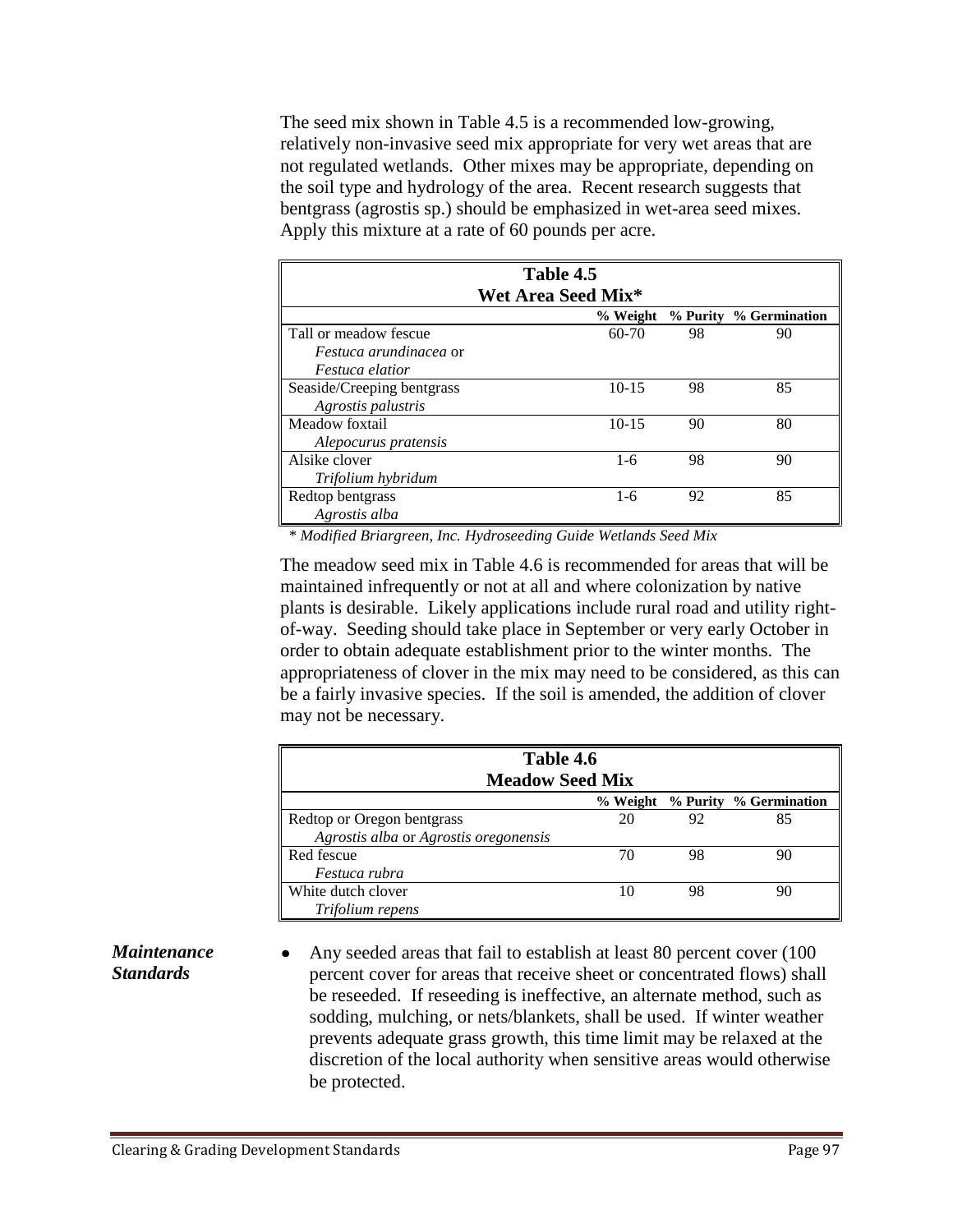The seed mix shown in Table 4.5 is a recommended low-growing, relatively non-invasive seed mix appropriate for very wet areas that are not regulated wetlands. Other mixes may be appropriate, depending on the soil type and hydrology of the area. Recent research suggests that bentgrass (agrostis sp.) should be emphasized in wet-area seed mixes. Apply this mixture at a rate of 60 pounds per acre.

| Table 4.5                     |           |    |                        |  |
|-------------------------------|-----------|----|------------------------|--|
| Wet Area Seed Mix*            |           |    |                        |  |
|                               | % Weight  |    | % Purity % Germination |  |
| Tall or meadow fescue         | 60-70     | 98 | 90                     |  |
| <i>Festuca arundinacea</i> or |           |    |                        |  |
| <i>Festuca elatior</i>        |           |    |                        |  |
| Seaside/Creeping bentgrass    | $10 - 15$ | 98 | 85                     |  |
| Agrostis palustris            |           |    |                        |  |
| Meadow foxtail                | $10 - 15$ | 90 | 80                     |  |
| Alepocurus pratensis          |           |    |                        |  |
| Alsike clover                 | $1-6$     | 98 | 90                     |  |
| Trifolium hybridum            |           |    |                        |  |
| Redtop bentgrass              | $1-6$     | 92 | 85                     |  |
| Agrostis alba                 |           |    |                        |  |

*\* Modified Briargreen, Inc. Hydroseeding Guide Wetlands Seed Mix*

The meadow seed mix in Table 4.6 is recommended for areas that will be maintained infrequently or not at all and where colonization by native plants is desirable. Likely applications include rural road and utility rightof-way. Seeding should take place in September or very early October in order to obtain adequate establishment prior to the winter months. The appropriateness of clover in the mix may need to be considered, as this can be a fairly invasive species. If the soil is amended, the addition of clover may not be necessary.

| Table 4.6<br><b>Meadow Seed Mix</b>   |          |    |                        |
|---------------------------------------|----------|----|------------------------|
|                                       | % Weight |    | % Purity % Germination |
| Redtop or Oregon bentgrass            | 20       | 92 | 85                     |
| Agrostis alba or Agrostis oregonensis |          |    |                        |
| Red fescue                            | 70       | 98 | 90                     |
| Festuca rubra                         |          |    |                        |
| White dutch clover                    | 10       | 98 | 90                     |
| Trifolium repens                      |          |    |                        |

## *Maintenance Standards*

Any seeded areas that fail to establish at least 80 percent cover (100 percent cover for areas that receive sheet or concentrated flows) shall be reseeded. If reseeding is ineffective, an alternate method, such as sodding, mulching, or nets/blankets, shall be used. If winter weather prevents adequate grass growth, this time limit may be relaxed at the discretion of the local authority when sensitive areas would otherwise be protected.